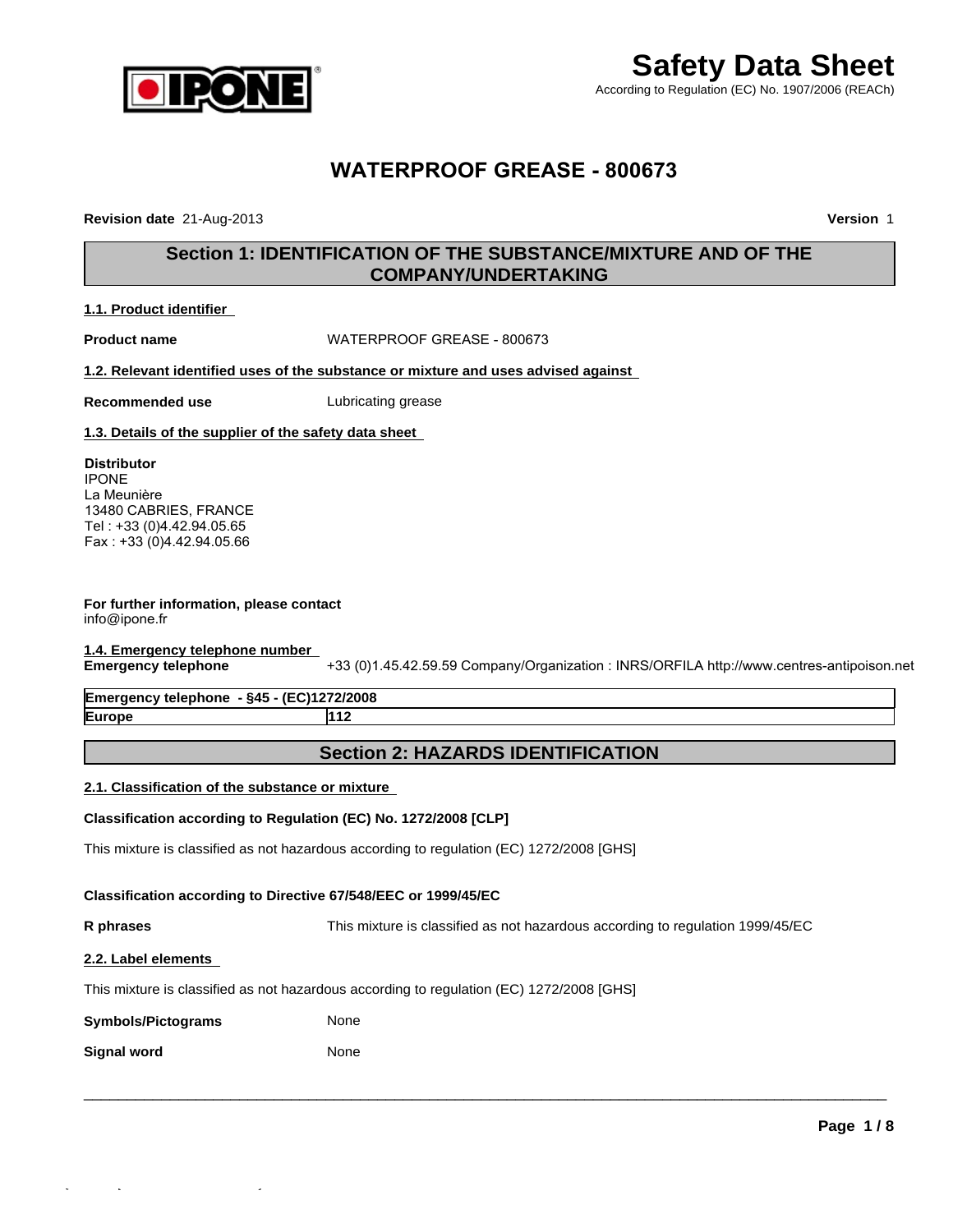

## **WATERPROOF GREASE - 800673**

**Revision date** 21-Aug-2013 **Version** 1

### **Section 1: IDENTIFICATION OF THE SUBSTANCE/MIXTURE AND OF THE COMPANY/UNDERTAKING**

### **1.1. Product identifier**

**Product name** WATERPROOF GREASE - 800673

**1.2. Relevant identified uses of the substance or mixture and uses advised against** 

**Recommended use** Lubricating grease

**1.3. Details of the supplier of the safety data sheet** 

### **Distributor**

IPONE La Meunière 13480 CABRIES, FRANCE Tel : +33 (0)4.42.94.05.65 Fax : +33 (0)4.42.94.05.66

### **For further information, please contact** info@ipone.fr

# **1.4. Emergency telephone number**

**Emergency telephone** +33 (0)1.45.42.59.59 Company/Organization : INRS/ORFILA http://www.centres-antipoison.net

**Emergency telephone - §45 - (EC)1272/2008 Europe 112**

### **Section 2: HAZARDS IDENTIFICATION**

### **2.1. Classification of the substance or mixture**

### **Classification according to Regulation (EC) No. 1272/2008 [CLP]**

This mixture is classified as not hazardous according to regulation (EC) 1272/2008 [GHS]

### **Classification according to Directive 67/548/EEC or 1999/45/EC**

**R phrases** This mixture is classified as not hazardous according to regulation 1999/45/EC

 $\_$  ,  $\_$  ,  $\_$  ,  $\_$  ,  $\_$  ,  $\_$  ,  $\_$  ,  $\_$  ,  $\_$  ,  $\_$  ,  $\_$  ,  $\_$  ,  $\_$  ,  $\_$  ,  $\_$  ,  $\_$  ,  $\_$  ,  $\_$  ,  $\_$  ,  $\_$  ,  $\_$  ,  $\_$  ,  $\_$  ,  $\_$  ,  $\_$  ,  $\_$  ,  $\_$  ,  $\_$  ,  $\_$  ,  $\_$  ,  $\_$  ,  $\_$  ,  $\_$  ,  $\_$  ,  $\_$  ,  $\_$  ,  $\_$  ,

### **2.2. Label elements**

This mixture is classified as not hazardous according to regulation (EC) 1272/2008 [GHS]

| <b>Symbols/Pictograms</b> | None |
|---------------------------|------|
|---------------------------|------|

**Signal word** None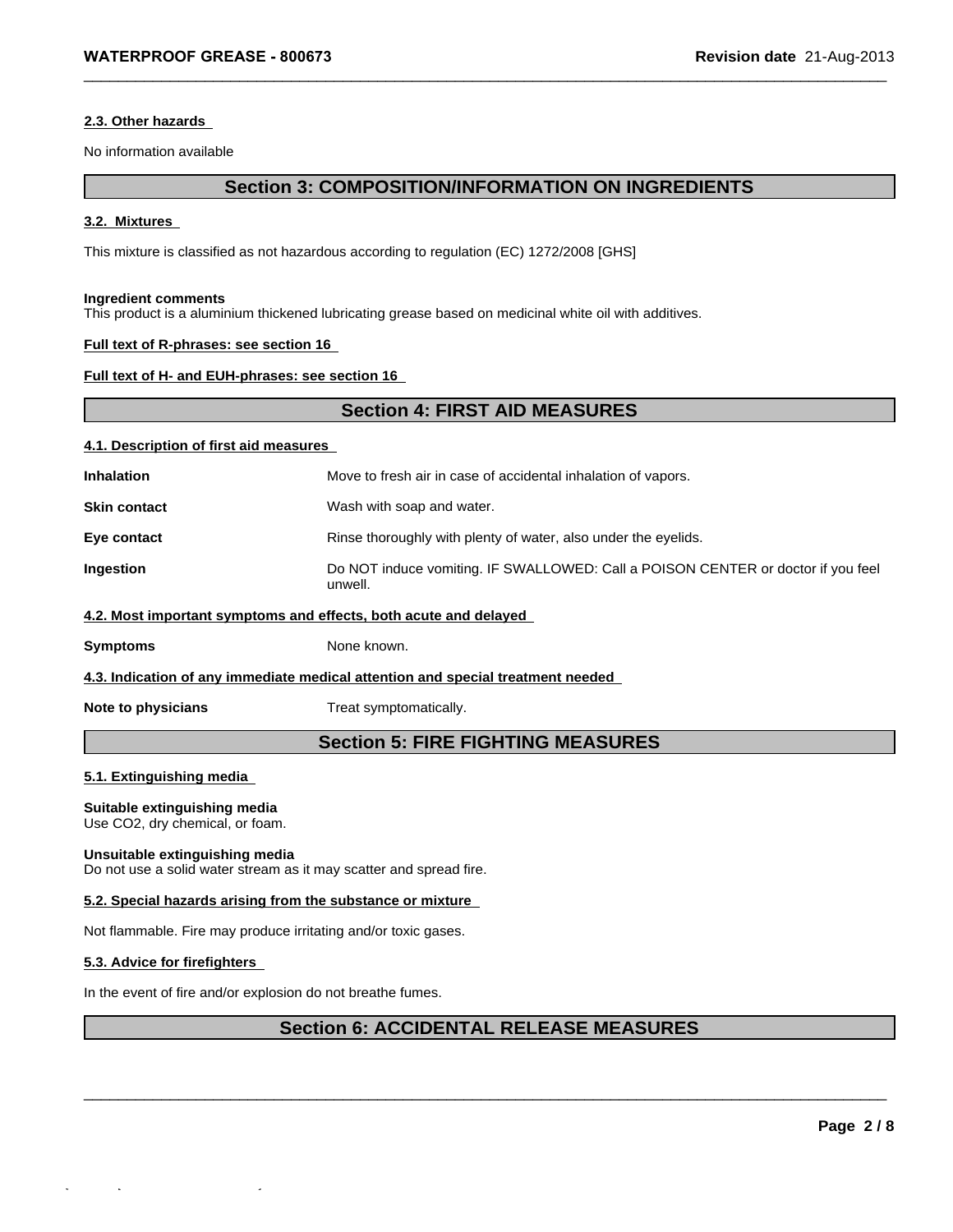### **2.3. Other hazards**

No information available

### **Section 3: COMPOSITION/INFORMATION ON INGREDIENTS**

 $\_$  ,  $\_$  ,  $\_$  ,  $\_$  ,  $\_$  ,  $\_$  ,  $\_$  ,  $\_$  ,  $\_$  ,  $\_$  ,  $\_$  ,  $\_$  ,  $\_$  ,  $\_$  ,  $\_$  ,  $\_$  ,  $\_$  ,  $\_$  ,  $\_$  ,  $\_$  ,  $\_$  ,  $\_$  ,  $\_$  ,  $\_$  ,  $\_$  ,  $\_$  ,  $\_$  ,  $\_$  ,  $\_$  ,  $\_$  ,  $\_$  ,  $\_$  ,  $\_$  ,  $\_$  ,  $\_$  ,  $\_$  ,  $\_$  ,

#### **3.2. Mixtures**

This mixture is classified as not hazardous according to regulation (EC) 1272/2008 [GHS]

#### **Ingredient comments**

This product is a aluminium thickened lubricating grease based on medicinal white oil with additives.

### **Full text of R-phrases: see section 16**

### **Full text of H- and EUH-phrases: see section 16**

### **Section 4: FIRST AID MEASURES**

### **4.1. Description of first aid measures**

| <b>Inhalation</b>                                                | Move to fresh air in case of accidental inhalation of vapors.                               |  |
|------------------------------------------------------------------|---------------------------------------------------------------------------------------------|--|
| <b>Skin contact</b>                                              | Wash with soap and water.                                                                   |  |
| Eye contact                                                      | Rinse thoroughly with plenty of water, also under the eyelids.                              |  |
| Ingestion                                                        | Do NOT induce vomiting. IF SWALLOWED: Call a POISON CENTER or doctor if you feel<br>unwell. |  |
| 4.2. Most important symptoms and effects, both acute and delayed |                                                                                             |  |

**Symptoms** None known.

### **4.3. Indication of any immediate medical attention and special treatment needed**

**Note to physicians** Treat symptomatically.

### **Section 5: FIRE FIGHTING MEASURES**

### **5.1. Extinguishing media**

### **Suitable extinguishing media**

Use CO2, dry chemical, or foam.

### **Unsuitable extinguishing media**

Do not use a solid water stream as it may scatter and spread fire.

### **5.2. Special hazards arising from the substance or mixture**

Not flammable. Fire may produce irritating and/or toxic gases.

### **5.3. Advice for firefighters**

In the event of fire and/or explosion do not breathe fumes.

### **Section 6: ACCIDENTAL RELEASE MEASURES**

 $\_$  ,  $\_$  ,  $\_$  ,  $\_$  ,  $\_$  ,  $\_$  ,  $\_$  ,  $\_$  ,  $\_$  ,  $\_$  ,  $\_$  ,  $\_$  ,  $\_$  ,  $\_$  ,  $\_$  ,  $\_$  ,  $\_$  ,  $\_$  ,  $\_$  ,  $\_$  ,  $\_$  ,  $\_$  ,  $\_$  ,  $\_$  ,  $\_$  ,  $\_$  ,  $\_$  ,  $\_$  ,  $\_$  ,  $\_$  ,  $\_$  ,  $\_$  ,  $\_$  ,  $\_$  ,  $\_$  ,  $\_$  ,  $\_$  ,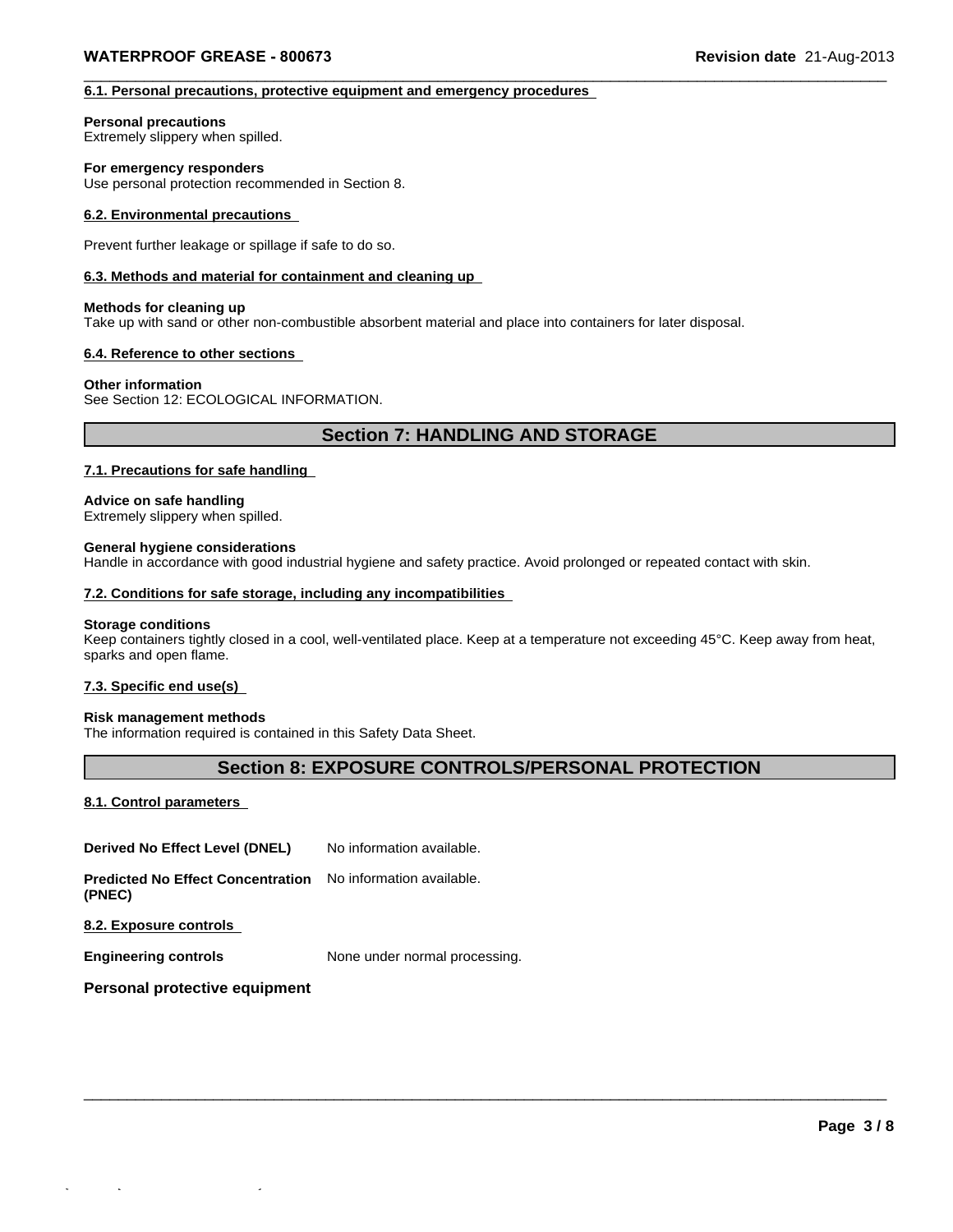### **6.1. Personal precautions, protective equipment and emergency procedures**

#### **Personal precautions**

Extremely slippery when spilled.

### **For emergency responders**

Use personal protection recommended in Section 8.

### **6.2. Environmental precautions**

Prevent further leakage or spillage if safe to do so.

### **6.3. Methods and material for containment and cleaning up**

### **Methods for cleaning up**

Take up with sand or other non-combustible absorbent material and place into containers for later disposal.

### **6.4. Reference to other sections**

### **Other information**

See Section 12: ECOLOGICAL INFORMATION.

### **Section 7: HANDLING AND STORAGE**

 $\_$  ,  $\_$  ,  $\_$  ,  $\_$  ,  $\_$  ,  $\_$  ,  $\_$  ,  $\_$  ,  $\_$  ,  $\_$  ,  $\_$  ,  $\_$  ,  $\_$  ,  $\_$  ,  $\_$  ,  $\_$  ,  $\_$  ,  $\_$  ,  $\_$  ,  $\_$  ,  $\_$  ,  $\_$  ,  $\_$  ,  $\_$  ,  $\_$  ,  $\_$  ,  $\_$  ,  $\_$  ,  $\_$  ,  $\_$  ,  $\_$  ,  $\_$  ,  $\_$  ,  $\_$  ,  $\_$  ,  $\_$  ,  $\_$  ,

### **7.1. Precautions for safe handling**

### **Advice on safe handling**

Extremely slippery when spilled.

### **General hygiene considerations**

Handle in accordance with good industrial hygiene and safety practice. Avoid prolonged or repeated contact with skin.

### **7.2. Conditions for safe storage, including any incompatibilities**

### **Storage conditions**

Keep containers tightly closed in a cool, well-ventilated place. Keep at a temperature not exceeding 45°C. Keep away from heat, sparks and open flame.

### **7.3. Specific end use(s)**

### **Risk management methods**

The information required is contained in this Safety Data Sheet.

### **Section 8: EXPOSURE CONTROLS/PERSONAL PROTECTION**

 $\_$  ,  $\_$  ,  $\_$  ,  $\_$  ,  $\_$  ,  $\_$  ,  $\_$  ,  $\_$  ,  $\_$  ,  $\_$  ,  $\_$  ,  $\_$  ,  $\_$  ,  $\_$  ,  $\_$  ,  $\_$  ,  $\_$  ,  $\_$  ,  $\_$  ,  $\_$  ,  $\_$  ,  $\_$  ,  $\_$  ,  $\_$  ,  $\_$  ,  $\_$  ,  $\_$  ,  $\_$  ,  $\_$  ,  $\_$  ,  $\_$  ,  $\_$  ,  $\_$  ,  $\_$  ,  $\_$  ,  $\_$  ,  $\_$  ,

### **8.1. Control parameters**

**Derived No Effect Level (DNEL)** No information available.

**Predicted No Effect Concentration** No information available.

**(PNEC)**

**8.2. Exposure controls** 

**Engineering controls** None under normal processing.

### **Personal protective equipment**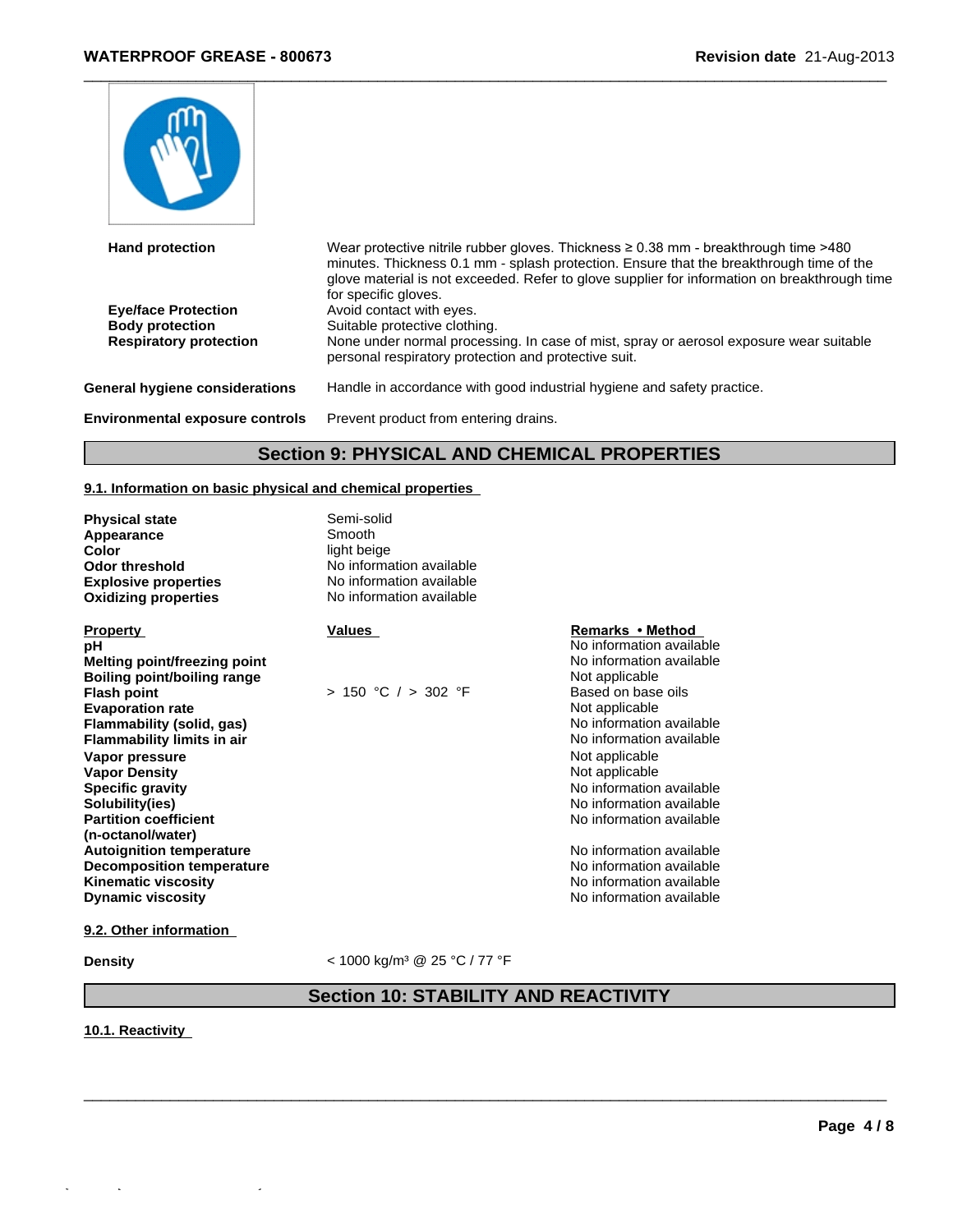

| <b>Hand protection</b>                                                                | Wear protective nitrile rubber gloves. Thickness $\geq 0.38$ mm - breakthrough time >480<br>minutes. Thickness 0.1 mm - splash protection. Ensure that the breakthrough time of the<br>glove material is not exceeded. Refer to glove supplier for information on breakthrough time<br>for specific gloves. |
|---------------------------------------------------------------------------------------|-------------------------------------------------------------------------------------------------------------------------------------------------------------------------------------------------------------------------------------------------------------------------------------------------------------|
| <b>Eve/face Protection</b><br><b>Body protection</b><br><b>Respiratory protection</b> | Avoid contact with eyes.<br>Suitable protective clothing.<br>None under normal processing. In case of mist, spray or aerosol exposure wear suitable<br>personal respiratory protection and protective suit.                                                                                                 |
| General hygiene considerations                                                        | Handle in accordance with good industrial hygiene and safety practice.                                                                                                                                                                                                                                      |
| <b>Environmental exposure controls</b>                                                | Prevent product from entering drains.                                                                                                                                                                                                                                                                       |

### **Section 9: PHYSICAL AND CHEMICAL PROPERTIES**

### **9.1. Information on basic physical and chemical properties**

| <b>Physical state</b><br><b>Appearance</b><br>Color<br><b>Odor threshold</b><br><b>Explosive properties</b><br><b>Oxidizing properties</b> | Semi-solid<br>Smooth<br>light beige<br>No information available<br>No information available<br>No information available |                          |
|--------------------------------------------------------------------------------------------------------------------------------------------|-------------------------------------------------------------------------------------------------------------------------|--------------------------|
| <b>Property</b>                                                                                                                            | Values                                                                                                                  | Remarks • Method         |
| рH                                                                                                                                         |                                                                                                                         | No information available |
| Melting point/freezing point                                                                                                               |                                                                                                                         | No information available |
| Boiling point/boiling range                                                                                                                |                                                                                                                         | Not applicable           |
| <b>Flash point</b>                                                                                                                         | $> 150$ °C $/ > 302$ °F                                                                                                 | Based on base oils       |
| <b>Evaporation rate</b>                                                                                                                    |                                                                                                                         | Not applicable           |
| Flammability (solid, gas)                                                                                                                  |                                                                                                                         | No information available |
| <b>Flammability limits in air</b>                                                                                                          |                                                                                                                         | No information available |
| Vapor pressure                                                                                                                             |                                                                                                                         | Not applicable           |
| <b>Vapor Density</b>                                                                                                                       |                                                                                                                         | Not applicable           |
| <b>Specific gravity</b>                                                                                                                    |                                                                                                                         | No information available |
| Solubility(ies)                                                                                                                            |                                                                                                                         | No information available |
| <b>Partition coefficient</b>                                                                                                               |                                                                                                                         | No information available |
| (n-octanol/water)                                                                                                                          |                                                                                                                         |                          |
| <b>Autoignition temperature</b>                                                                                                            |                                                                                                                         | No information available |
| <b>Decomposition temperature</b>                                                                                                           |                                                                                                                         | No information available |
| <b>Kinematic viscosity</b>                                                                                                                 |                                                                                                                         | No information available |
| <b>Dynamic viscosity</b>                                                                                                                   |                                                                                                                         | No information available |

### **9.2. Other information**

Quick-FDS [19903-65277-31773-016889] - 2022-06-28 - 18:07:57

**Density** < 1000 kg/m<sup>3</sup> @ 25 °C / 77 °F

### **Section 10: STABILITY AND REACTIVITY**

 $\_$  ,  $\_$  ,  $\_$  ,  $\_$  ,  $\_$  ,  $\_$  ,  $\_$  ,  $\_$  ,  $\_$  ,  $\_$  ,  $\_$  ,  $\_$  ,  $\_$  ,  $\_$  ,  $\_$  ,  $\_$  ,  $\_$  ,  $\_$  ,  $\_$  ,  $\_$  ,  $\_$  ,  $\_$  ,  $\_$  ,  $\_$  ,  $\_$  ,  $\_$  ,  $\_$  ,  $\_$  ,  $\_$  ,  $\_$  ,  $\_$  ,  $\_$  ,  $\_$  ,  $\_$  ,  $\_$  ,  $\_$  ,  $\_$  ,

**10.1. Reactivity**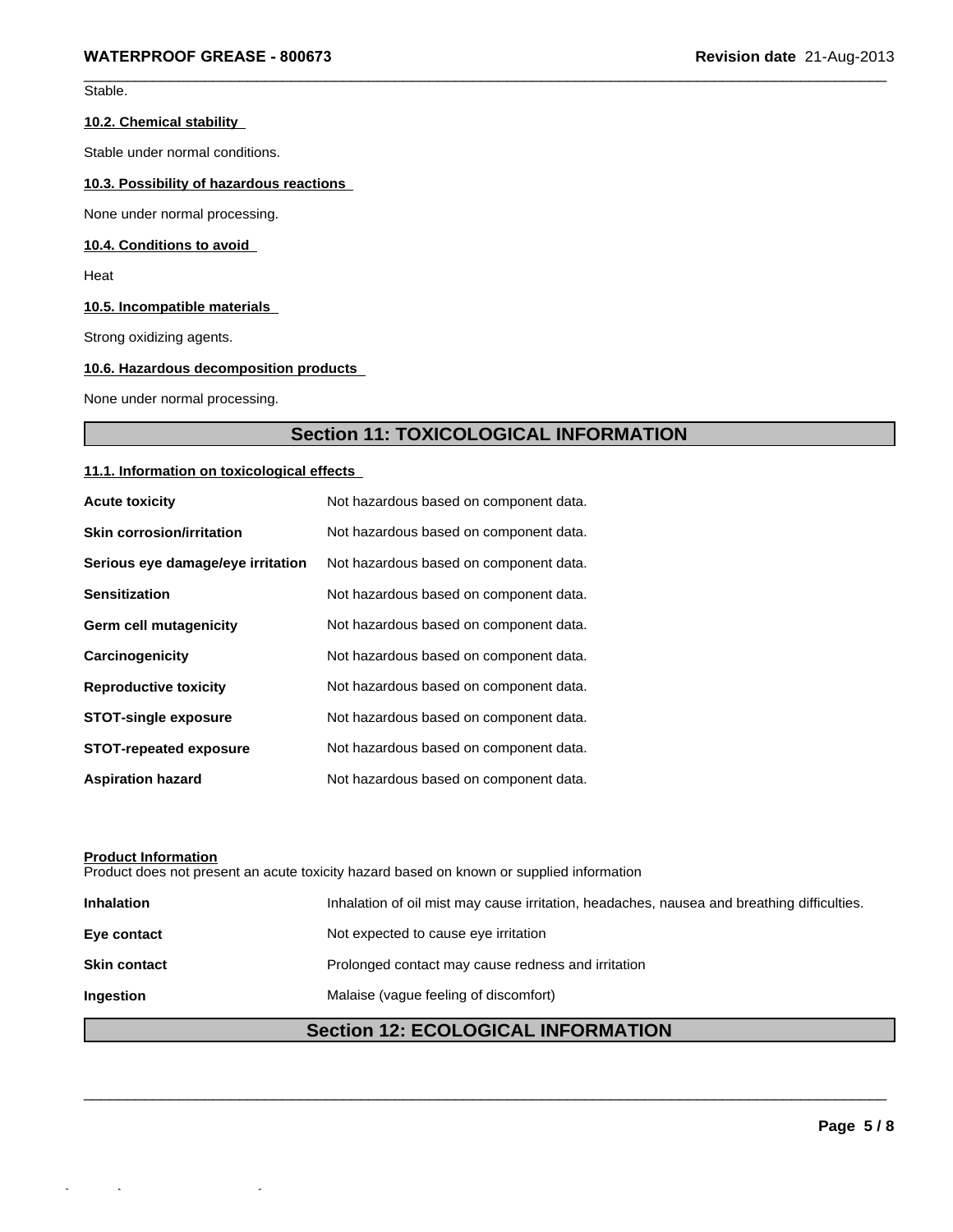$\_$  ,  $\_$  ,  $\_$  ,  $\_$  ,  $\_$  ,  $\_$  ,  $\_$  ,  $\_$  ,  $\_$  ,  $\_$  ,  $\_$  ,  $\_$  ,  $\_$  ,  $\_$  ,  $\_$  ,  $\_$  ,  $\_$  ,  $\_$  ,  $\_$  ,  $\_$  ,  $\_$  ,  $\_$  ,  $\_$  ,  $\_$  ,  $\_$  ,  $\_$  ,  $\_$  ,  $\_$  ,  $\_$  ,  $\_$  ,  $\_$  ,  $\_$  ,  $\_$  ,  $\_$  ,  $\_$  ,  $\_$  ,  $\_$  , Stable.

### **10.2. Chemical stability**

Stable under normal conditions.

### **10.3. Possibility of hazardous reactions**

None under normal processing.

### **10.4. Conditions to avoid**

Heat

### **10.5. Incompatible materials**

Strong oxidizing agents.

### **10.6. Hazardous decomposition products**

None under normal processing.

### **Section 11: TOXICOLOGICAL INFORMATION**

### **11.1. Information on toxicological effects**

| <b>Acute toxicity</b>             | Not hazardous based on component data. |
|-----------------------------------|----------------------------------------|
| <b>Skin corrosion/irritation</b>  | Not hazardous based on component data. |
| Serious eye damage/eye irritation | Not hazardous based on component data. |
| <b>Sensitization</b>              | Not hazardous based on component data. |
| Germ cell mutagenicity            | Not hazardous based on component data. |
| Carcinogenicity                   | Not hazardous based on component data. |
| <b>Reproductive toxicity</b>      | Not hazardous based on component data. |
| <b>STOT-single exposure</b>       | Not hazardous based on component data. |
| <b>STOT-repeated exposure</b>     | Not hazardous based on component data. |
| <b>Aspiration hazard</b>          | Not hazardous based on component data. |

### **Product Information**

Quick-FDS [19903-65277-31773-016889] - 2022-06-28 - 18:07:57

Product does not present an acute toxicity hazard based on known or supplied information

| <b>Inhalation</b>   | Inhalation of oil mist may cause irritation, headaches, nausea and breathing difficulties. |
|---------------------|--------------------------------------------------------------------------------------------|
| Eye contact         | Not expected to cause eye irritation                                                       |
| <b>Skin contact</b> | Prolonged contact may cause redness and irritation                                         |
| <b>Ingestion</b>    | Malaise (vaque feeling of discomfort)                                                      |

### **Section 12: ECOLOGICAL INFORMATION**

 $\_$  ,  $\_$  ,  $\_$  ,  $\_$  ,  $\_$  ,  $\_$  ,  $\_$  ,  $\_$  ,  $\_$  ,  $\_$  ,  $\_$  ,  $\_$  ,  $\_$  ,  $\_$  ,  $\_$  ,  $\_$  ,  $\_$  ,  $\_$  ,  $\_$  ,  $\_$  ,  $\_$  ,  $\_$  ,  $\_$  ,  $\_$  ,  $\_$  ,  $\_$  ,  $\_$  ,  $\_$  ,  $\_$  ,  $\_$  ,  $\_$  ,  $\_$  ,  $\_$  ,  $\_$  ,  $\_$  ,  $\_$  ,  $\_$  ,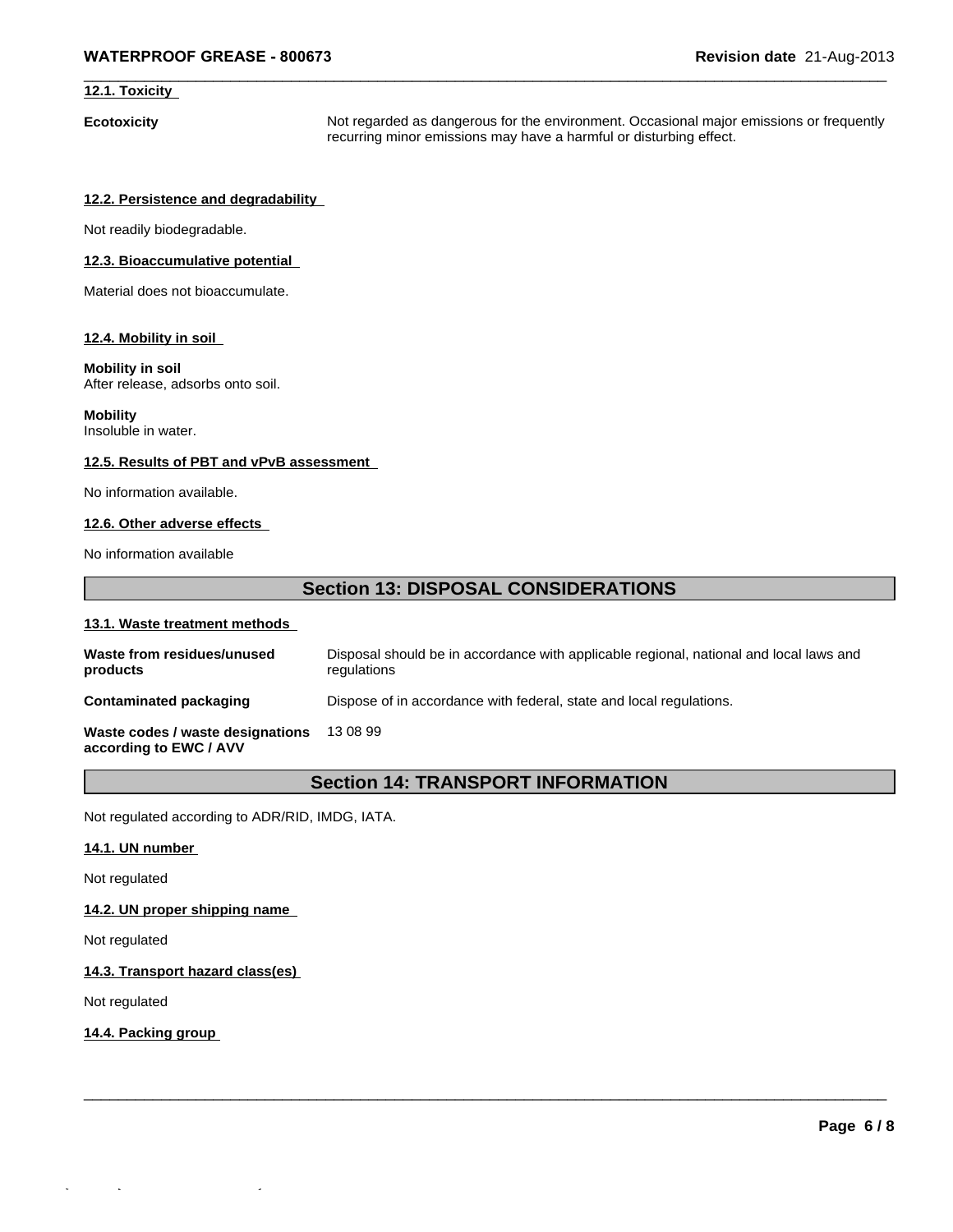### **12.1. Toxicity**

**Ecotoxicity Not regarded as dangerous for the environment. Occasional major emissions or frequently** recurring minor emissions may have a harmful or disturbing effect.

 $\_$  ,  $\_$  ,  $\_$  ,  $\_$  ,  $\_$  ,  $\_$  ,  $\_$  ,  $\_$  ,  $\_$  ,  $\_$  ,  $\_$  ,  $\_$  ,  $\_$  ,  $\_$  ,  $\_$  ,  $\_$  ,  $\_$  ,  $\_$  ,  $\_$  ,  $\_$  ,  $\_$  ,  $\_$  ,  $\_$  ,  $\_$  ,  $\_$  ,  $\_$  ,  $\_$  ,  $\_$  ,  $\_$  ,  $\_$  ,  $\_$  ,  $\_$  ,  $\_$  ,  $\_$  ,  $\_$  ,  $\_$  ,  $\_$  ,

### **12.2. Persistence and degradability**

Not readily biodegradable.

### **12.3. Bioaccumulative potential**

Material does not bioaccumulate.

### **12.4. Mobility in soil**

### **Mobility in soil**

After release, adsorbs onto soil.

### **Mobility**

Insoluble in water.

### **12.5. Results of PBT and vPvB assessment**

No information available.

### **12.6. Other adverse effects**

No information available

### **Section 13: DISPOSAL CONSIDERATIONS**

### **13.1. Waste treatment methods**

| Waste from residues/unused<br>products                     | Disposal should be in accordance with applicable regional, national and local laws and<br>regulations |
|------------------------------------------------------------|-------------------------------------------------------------------------------------------------------|
| <b>Contaminated packaging</b>                              | Dispose of in accordance with federal, state and local regulations.                                   |
| Waste codes / waste designations<br>according to EWC / AVV | 13 08 99                                                                                              |

### **Section 14: TRANSPORT INFORMATION**

 $\_$  ,  $\_$  ,  $\_$  ,  $\_$  ,  $\_$  ,  $\_$  ,  $\_$  ,  $\_$  ,  $\_$  ,  $\_$  ,  $\_$  ,  $\_$  ,  $\_$  ,  $\_$  ,  $\_$  ,  $\_$  ,  $\_$  ,  $\_$  ,  $\_$  ,  $\_$  ,  $\_$  ,  $\_$  ,  $\_$  ,  $\_$  ,  $\_$  ,  $\_$  ,  $\_$  ,  $\_$  ,  $\_$  ,  $\_$  ,  $\_$  ,  $\_$  ,  $\_$  ,  $\_$  ,  $\_$  ,  $\_$  ,  $\_$  ,

Not regulated according to ADR/RID, IMDG, IATA.

### **14.1. UN number**

Not regulated

### **14.2. UN proper shipping name**

Not regulated

### **14.3. Transport hazard class(es)**

Not regulated

### **14.4. Packing group**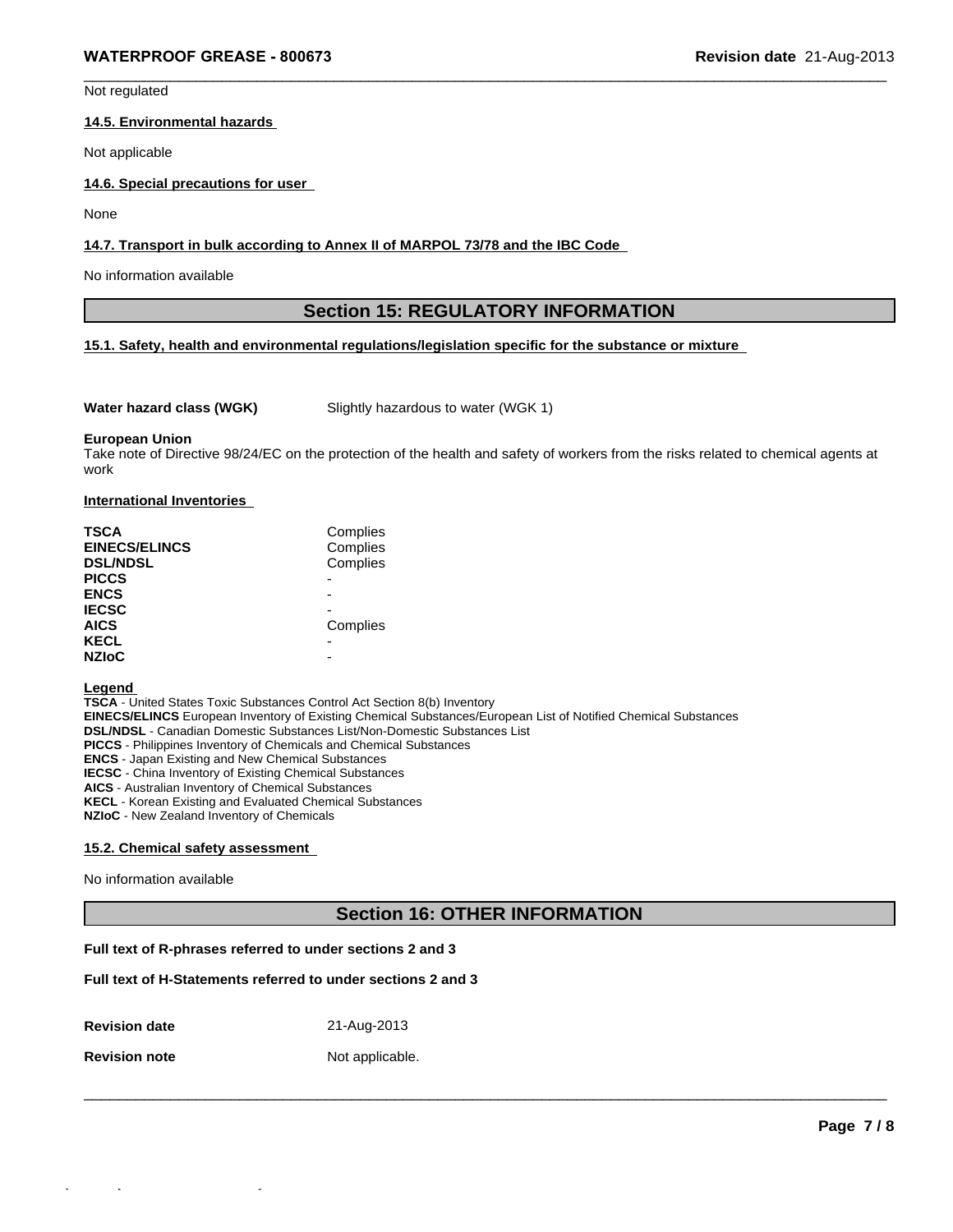Not regulated

### **14.5. Environmental hazards**

Not applicable

### **14.6. Special precautions for user**

None

### **14.7. Transport in bulk according to Annex II of MARPOL 73/78 and the IBC Code**

No information available

### **Section 15: REGULATORY INFORMATION**

 $\_$  ,  $\_$  ,  $\_$  ,  $\_$  ,  $\_$  ,  $\_$  ,  $\_$  ,  $\_$  ,  $\_$  ,  $\_$  ,  $\_$  ,  $\_$  ,  $\_$  ,  $\_$  ,  $\_$  ,  $\_$  ,  $\_$  ,  $\_$  ,  $\_$  ,  $\_$  ,  $\_$  ,  $\_$  ,  $\_$  ,  $\_$  ,  $\_$  ,  $\_$  ,  $\_$  ,  $\_$  ,  $\_$  ,  $\_$  ,  $\_$  ,  $\_$  ,  $\_$  ,  $\_$  ,  $\_$  ,  $\_$  ,  $\_$  ,

### **15.1. Safety, health and environmental regulations/legislation specific for the substance or mixture**

**Water hazard class (WGK)** Slightly hazardous to water (WGK 1)

#### **European Union**

Take note of Directive 98/24/EC on the protection of the health and safety of workers from the risks related to chemical agents at work

#### **International Inventories**

| <b>TSCA</b><br><b>EINECS/ELINCS</b><br><b>DSL/NDSL</b> | Complies<br>Complies<br>Complies |
|--------------------------------------------------------|----------------------------------|
| <b>PICCS</b>                                           | -                                |
| <b>ENCS</b>                                            | ۰                                |
| <b>IECSC</b>                                           | -                                |
| <b>AICS</b>                                            | Complies                         |
| <b>KECL</b>                                            | ۰                                |
| <b>NZIoC</b>                                           | -                                |

#### **Legend**

**TSCA** - United States Toxic Substances Control Act Section 8(b) Inventory **EINECS/ELINCS** European Inventory of Existing Chemical Substances/European List of Notified Chemical Substances **DSL/NDSL** - Canadian Domestic Substances List/Non-Domestic Substances List **PICCS** - Philippines Inventory of Chemicals and Chemical Substances **ENCS** - Japan Existing and New Chemical Substances **IECSC** - China Inventory of Existing Chemical Substances **AICS** - Australian Inventory of Chemical Substances **KECL** - Korean Existing and Evaluated Chemical Substances **NZIoC** - New Zealand Inventory of Chemicals

### **15.2. Chemical safety assessment**

No information available

### **Section 16: OTHER INFORMATION**

 $\Box$ 

### **Full text of R-phrases referred to under sections 2 and 3**

### **Full text of H-Statements referred to under sections 2 and 3**

**Revision date** 21-Aug-2013

**Revision note** Not applicable.